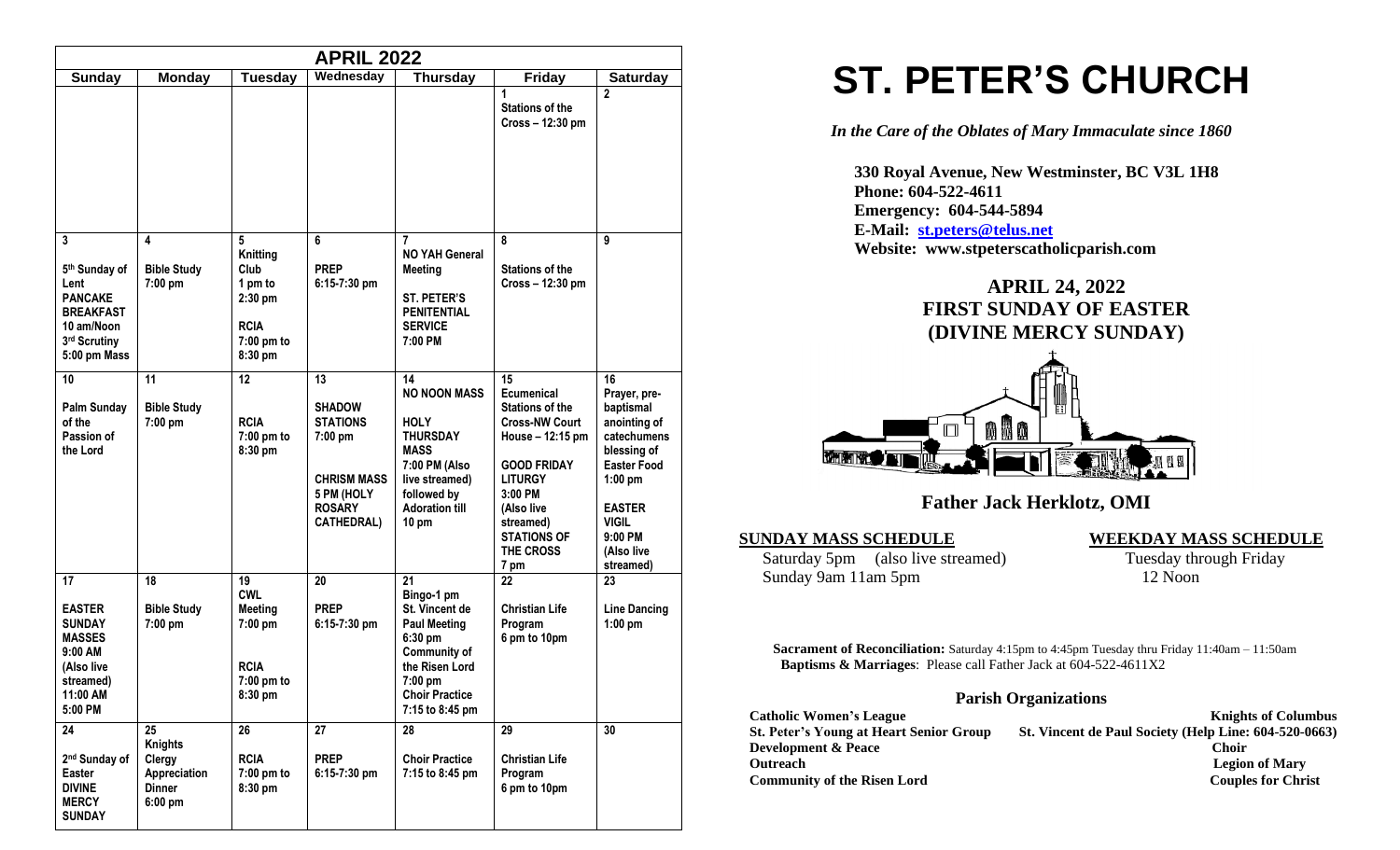| <b>APRIL 2022</b>                                                                                                  |                                                                              |                                                                                           |                                                                                                                             |                                                                                                                                                                          |                                                                                                                                                                                                                             |                                                                                                                                                                                         |  |
|--------------------------------------------------------------------------------------------------------------------|------------------------------------------------------------------------------|-------------------------------------------------------------------------------------------|-----------------------------------------------------------------------------------------------------------------------------|--------------------------------------------------------------------------------------------------------------------------------------------------------------------------|-----------------------------------------------------------------------------------------------------------------------------------------------------------------------------------------------------------------------------|-----------------------------------------------------------------------------------------------------------------------------------------------------------------------------------------|--|
| <b>Sunday</b>                                                                                                      | <b>Monday</b>                                                                | <b>Tuesday</b>                                                                            | Wednesday                                                                                                                   | <b>Thursday</b>                                                                                                                                                          | <b>Friday</b>                                                                                                                                                                                                               | <b>Saturday</b>                                                                                                                                                                         |  |
|                                                                                                                    |                                                                              |                                                                                           |                                                                                                                             |                                                                                                                                                                          | 1<br><b>Stations of the</b><br>Cross - 12:30 pm                                                                                                                                                                             | $\mathbf{2}$                                                                                                                                                                            |  |
| 3<br>5th Sunday of<br>Lent<br><b>PANCAKE</b><br><b>BREAKFAST</b><br>10 am/Noon<br>3rd Scrutiny<br>5:00 pm Mass     | 4<br><b>Bible Study</b><br>7:00 pm                                           | 5<br>Knitting<br>Club<br>1 pm to<br>$2:30$ pm<br><b>RCIA</b><br>$7:00$ pm to<br>8:30 pm   | 6<br><b>PREP</b><br>6:15-7:30 pm                                                                                            | 7<br><b>NO YAH General</b><br><b>Meeting</b><br><b>ST. PETER'S</b><br><b>PENITENTIAL</b><br><b>SERVICE</b><br>7:00 PM                                                    | 8<br><b>Stations of the</b><br>Cross - 12:30 pm                                                                                                                                                                             | 9                                                                                                                                                                                       |  |
| 10<br><b>Palm Sunday</b><br>of the<br>Passion of<br>the Lord                                                       | 11<br><b>Bible Study</b><br>7:00 pm                                          | 12<br><b>RCIA</b><br>7:00 pm to<br>8:30 pm                                                | 13<br><b>SHADOW</b><br><b>STATIONS</b><br>7:00 pm<br><b>CHRISM MASS</b><br>5 PM (HOLY<br><b>ROSARY</b><br><b>CATHEDRAL)</b> | 14<br><b>NO NOON MASS</b><br><b>HOLY</b><br><b>THURSDAY</b><br><b>MASS</b><br>7:00 PM (Also<br>live streamed)<br>followed by<br><b>Adoration till</b><br>$10 \text{ pm}$ | 15<br>Ecumenical<br><b>Stations of the</b><br><b>Cross-NW Court</b><br>House - 12:15 pm<br><b>GOOD FRIDAY</b><br><b>LITURGY</b><br>3:00 PM<br>(Also live<br>streamed)<br><b>STATIONS OF</b><br>THE CROSS<br>7 <sub>pm</sub> | 16<br>Prayer, pre-<br>baptismal<br>anointing of<br>catechumens<br>blessing of<br><b>Easter Food</b><br>$1:00$ pm<br><b>EASTER</b><br><b>VIGIL</b><br>9:00 PM<br>(Also live<br>streamed) |  |
| 17<br><b>EASTER</b><br><b>SUNDAY</b><br><b>MASSES</b><br>9:00 AM<br>(Also live<br>streamed)<br>11:00 AM<br>5:00 PM | 18<br><b>Bible Study</b><br>7:00 pm                                          | 19<br><b>CWL</b><br><b>Meeting</b><br>$7:00$ pm<br><b>RCIA</b><br>$7:00$ pm to<br>8:30 pm | 20<br><b>PREP</b><br>$6:15-7:30$ pm                                                                                         | 21<br>Bingo-1 pm<br>St. Vincent de<br><b>Paul Meeting</b><br>6:30 pm<br><b>Community of</b><br>the Risen Lord<br>$7:00$ pm<br><b>Choir Practice</b><br>7:15 to 8:45 pm   | 22<br><b>Christian Life</b><br>Program<br>6 pm to 10pm                                                                                                                                                                      | 23<br><b>Line Dancing</b><br>$1:00$ pm                                                                                                                                                  |  |
| 24<br>2 <sup>nd</sup> Sunday of<br>Easter<br><b>DIVINE</b><br><b>MERCY</b><br><b>SUNDAY</b>                        | 25<br><b>Knights</b><br>Clergy<br>Appreciation<br><b>Dinner</b><br>$6:00$ pm | 26<br><b>RCIA</b><br>$7:00$ pm to<br>8:30 pm                                              | 27<br><b>PREP</b><br>6:15-7:30 pm                                                                                           | 28<br><b>Choir Practice</b><br>7:15 to 8:45 pm                                                                                                                           | 29<br><b>Christian Life</b><br>Program<br>6 pm to 10pm                                                                                                                                                                      | 30                                                                                                                                                                                      |  |

# **ST. PETER'S CHURCH**

*In the Care of the Oblates of Mary Immaculate since 1860*

 **330 Royal Avenue, New Westminster, BC V3L 1H8 Phone: 604-522-4611 Emergency: 604-544-5894 E-Mail: [st.peters@telus.net](mailto:st.peters@telus.net) Website: www.stpeterscatholicparish.com**

# **APRIL 24, 2022 FIRST SUNDAY OF EASTER (DIVINE MERCY SUNDAY)**



## **Father Jack Herklotz, OMI**

#### **SUNDAY MASS SCHEDULE WEEKDAY MASS SCHEDULE**

Saturday 5pm (also live streamed) Tuesday through Friday Sunday 9am 11am 5pm 12 Noon

**Sacrament of Reconciliation:** Saturday 4:15pm to 4:45pm Tuesday thru Friday 11:40am – 11:50am  **Baptisms & Marriages**: Please call Father Jack at 604-522-4611X2

#### **Parish Organizations**

| <b>Catholic Women's League</b>                 | <b>Knights of Columbus</b>                            |
|------------------------------------------------|-------------------------------------------------------|
| <b>St. Peter's Young at Heart Senior Group</b> | St. Vincent de Paul Society (Help Line: 604-520-0663) |
| <b>Development &amp; Peace</b>                 | <b>Choir</b>                                          |
| <b>Outreach</b>                                | <b>Legion of Mary</b>                                 |
| <b>Community of the Risen Lord</b>             | <b>Couples for Christ</b>                             |